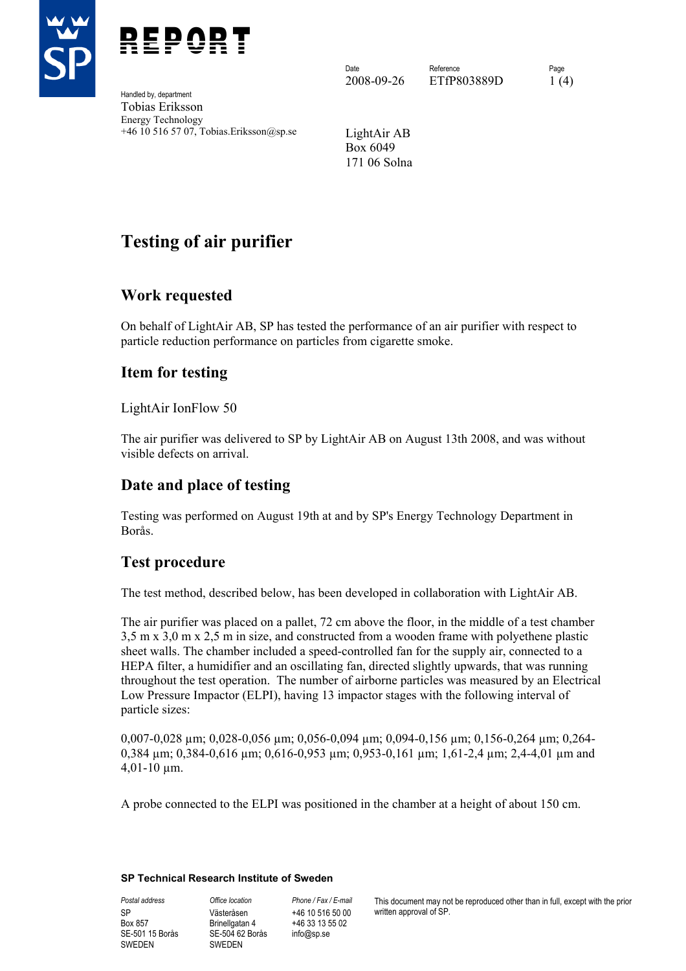



Handled by, department Tobias Eriksson Energy Technology +46 10 516 57 07, Tobias.Eriksson@sp.se LightAir AB

Date **Reference** Reference **Page** 2008-09-26 ETfP803889D 1(4)

Box 6049 171 06 Solna

# **Testing of air purifier**

## **Work requested**

On behalf of LightAir AB, SP has tested the performance of an air purifier with respect to particle reduction performance on particles from cigarette smoke.

## **Item for testing**

LightAir IonFlow 50

The air purifier was delivered to SP by LightAir AB on August 13th 2008, and was without visible defects on arrival.

## **Date and place of testing**

Testing was performed on August 19th at and by SP's Energy Technology Department in Borås.

## **Test procedure**

The test method, described below, has been developed in collaboration with LightAir AB.

The air purifier was placed on a pallet, 72 cm above the floor, in the middle of a test chamber 3,5 m x 3,0 m x 2,5 m in size, and constructed from a wooden frame with polyethene plastic sheet walls. The chamber included a speed-controlled fan for the supply air, connected to a HEPA filter, a humidifier and an oscillating fan, directed slightly upwards, that was running throughout the test operation. The number of airborne particles was measured by an Electrical Low Pressure Impactor (ELPI), having 13 impactor stages with the following interval of particle sizes:

0,007-0,028 µm; 0,028-0,056 µm; 0,056-0,094 µm; 0,094-0,156 µm; 0,156-0,264 µm; 0,264- 0,384 µm; 0,384-0,616 µm; 0,616-0,953 µm; 0,953-0,161 µm; 1,61-2,4 µm; 2,4-4,01 µm and 4,01-10 µm.

A probe connected to the ELPI was positioned in the chamber at a height of about 150 cm.

#### **SP Technical Research Institute of Sweden**

SP Box 857 SE-501 15 Borås SWEDEN

*Postal address Office location Phone / Fax / E-mail*  Västeråsen Brinellgatan 4 SE-504 62 Borås SWEDEN

+46 10 516 50 00 +46 33 13 55 02 info@sp.se

This document may not be reproduced other than in full, except with the prior written approval of SP.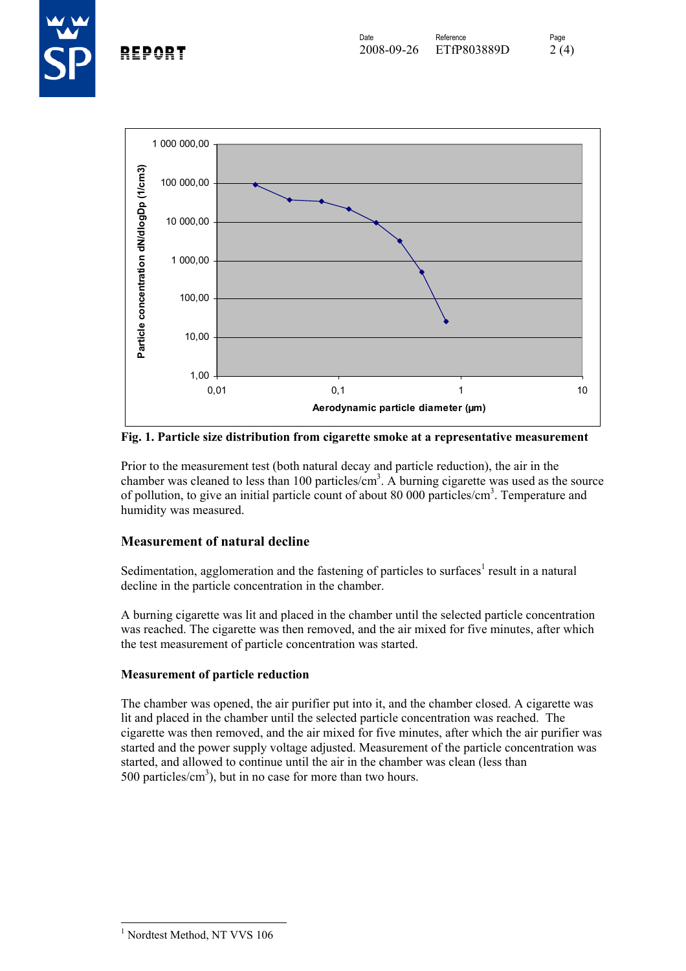



**Fig. 1. Particle size distribution from cigarette smoke at a representative measurement** 

Prior to the measurement test (both natural decay and particle reduction), the air in the chamber was cleaned to less than 100 particles/ $\text{cm}^3$ . A burning cigarette was used as the source of pollution, to give an initial particle count of about 80 000 particles/cm<sup>3</sup>. Temperature and humidity was measured.

#### **Measurement of natural decline**

Sedimentation, agglomeration and the fastening of particles to surfaces<sup>1</sup> result in a natural decline in the particle concentration in the chamber.

A burning cigarette was lit and placed in the chamber until the selected particle concentration was reached. The cigarette was then removed, and the air mixed for five minutes, after which the test measurement of particle concentration was started.

#### **Measurement of particle reduction**

The chamber was opened, the air purifier put into it, and the chamber closed. A cigarette was lit and placed in the chamber until the selected particle concentration was reached. The cigarette was then removed, and the air mixed for five minutes, after which the air purifier was started and the power supply voltage adjusted. Measurement of the particle concentration was started, and allowed to continue until the air in the chamber was clean (less than 500 particles/ $\text{cm}^3$ ), but in no case for more than two hours.

 1 Nordtest Method, NT VVS 106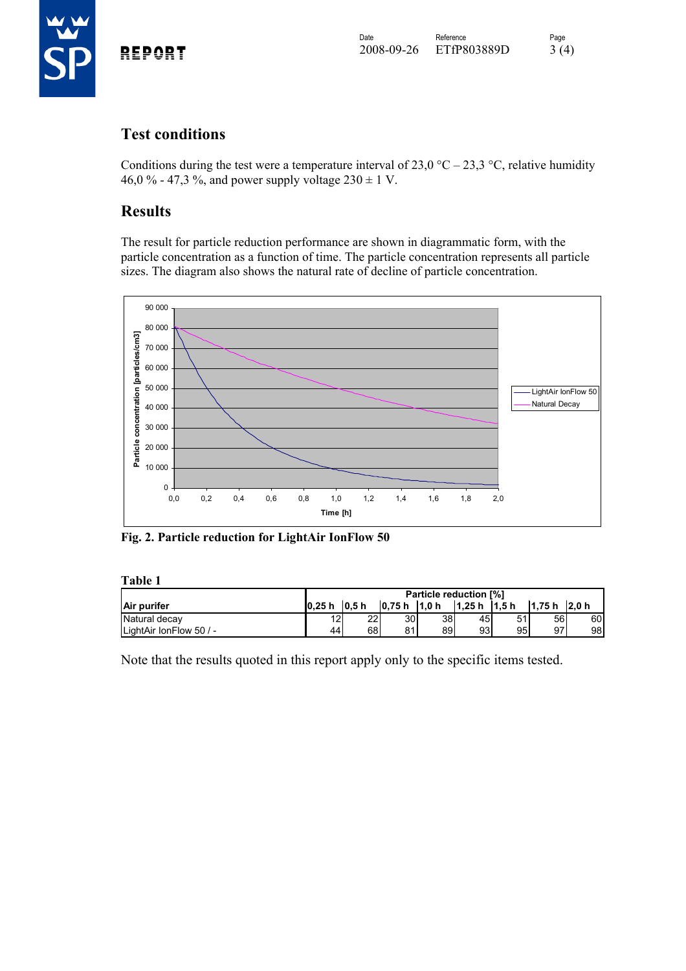

## **Test conditions**

Conditions during the test were a temperature interval of 23,0 °C – 23,3 °C, relative humidity 46,0 % - 47,3 %, and power supply voltage  $230 \pm 1$  V.

## **Results**

The result for particle reduction performance are shown in diagrammatic form, with the particle concentration as a function of time. The particle concentration represents all particle sizes. The diagram also shows the natural rate of decline of particle concentration.



**Fig. 2. Particle reduction for LightAir IonFlow 50** 

**Table 1** 

|                         | <b>Particle reduction [%]</b> |        |         |                  |               |    |                |     |
|-------------------------|-------------------------------|--------|---------|------------------|---------------|----|----------------|-----|
| Air purifer             | 10.25h                        | l0.5 h | l0.75 h | 1.0 <sub>h</sub> | $1,25 h$ 1,5h |    | $1.75 h$ 2.0 h |     |
| Natural decay           | 12I                           | 221    | 30      | 38               | 45l           | 51 | 56             | 60I |
| LightAir IonFlow 50 / - | 44                            | 68l    | 81      | 89               | 93            | 95 | 97             | 98  |

Note that the results quoted in this report apply only to the specific items tested.